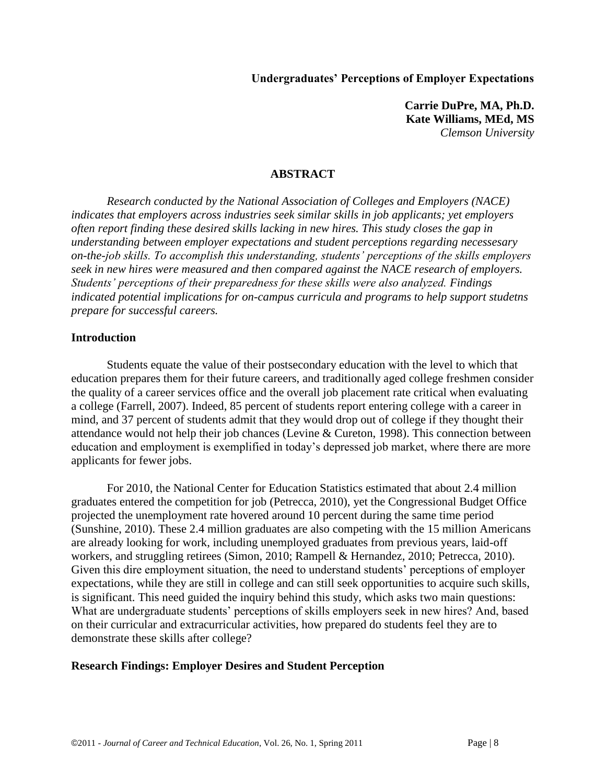**Undergraduates' Perceptions of Employer Expectations**

**Carrie DuPre, MA, Ph.D. Kate Williams, MEd, MS** *Clemson University*

### **ABSTRACT**

*Research conducted by the National Association of Colleges and Employers (NACE) indicates that employers across industries seek similar skills in job applicants; yet employers often report finding these desired skills lacking in new hires. This study closes the gap in understanding between employer expectations and student perceptions regarding necessesary on-the-job skills. To accomplish this understanding, students' perceptions of the skills employers seek in new hires were measured and then compared against the NACE research of employers. Students' perceptions of their preparedness for these skills were also analyzed. Findings indicated potential implications for on-campus curricula and programs to help support studetns prepare for successful careers.*

#### **Introduction**

Students equate the value of their postsecondary education with the level to which that education prepares them for their future careers, and traditionally aged college freshmen consider the quality of a career services office and the overall job placement rate critical when evaluating a college (Farrell, 2007). Indeed, 85 percent of students report entering college with a career in mind, and 37 percent of students admit that they would drop out of college if they thought their attendance would not help their job chances (Levine & Cureton, 1998). This connection between education and employment is exemplified in today's depressed job market, where there are more applicants for fewer jobs.

For 2010, the National Center for Education Statistics estimated that about 2.4 million graduates entered the competition for job (Petrecca, 2010), yet the Congressional Budget Office projected the unemployment rate hovered around 10 percent during the same time period (Sunshine, 2010). These 2.4 million graduates are also competing with the 15 million Americans are already looking for work, including unemployed graduates from previous years, laid-off workers, and struggling retirees (Simon, 2010; Rampell & Hernandez, 2010; Petrecca, 2010). Given this dire employment situation, the need to understand students' perceptions of employer expectations, while they are still in college and can still seek opportunities to acquire such skills, is significant. This need guided the inquiry behind this study, which asks two main questions: What are undergraduate students' perceptions of skills employers seek in new hires? And, based on their curricular and extracurricular activities, how prepared do students feel they are to demonstrate these skills after college?

### **Research Findings: Employer Desires and Student Perception**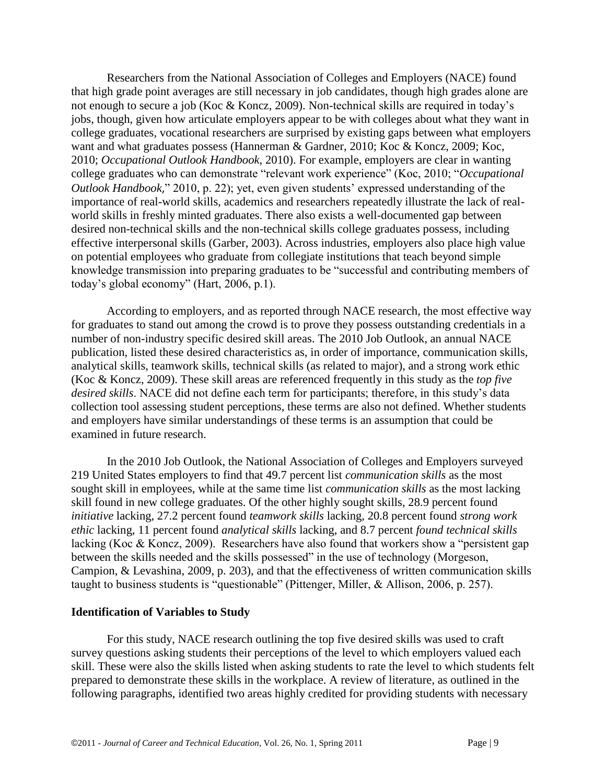Researchers from the National Association of Colleges and Employers (NACE) found that high grade point averages are still necessary in job candidates, though high grades alone are not enough to secure a job (Koc & Koncz, 2009). Non-technical skills are required in today's jobs, though, given how articulate employers appear to be with colleges about what they want in college graduates, vocational researchers are surprised by existing gaps between what employers want and what graduates possess (Hannerman & Gardner, 2010; Koc & Koncz, 2009; Koc, 2010; *Occupational Outlook Handbook*, 2010). For example, employers are clear in wanting college graduates who can demonstrate "relevant work experience" (Koc, 2010; "Occupational *Outlook Handbook*," 2010, p. 22); yet, even given students' expressed understanding of the importance of real-world skills, academics and researchers repeatedly illustrate the lack of realworld skills in freshly minted graduates. There also exists a well-documented gap between desired non-technical skills and the non-technical skills college graduates possess, including effective interpersonal skills (Garber, 2003). Across industries, employers also place high value on potential employees who graduate from collegiate institutions that teach beyond simple knowledge transmission into preparing graduates to be "successful and contributing members of today's global economy" (Hart,  $2006$ , p.1).

According to employers, and as reported through NACE research, the most effective way for graduates to stand out among the crowd is to prove they possess outstanding credentials in a number of non-industry specific desired skill areas. The 2010 Job Outlook, an annual NACE publication, listed these desired characteristics as, in order of importance, communication skills, analytical skills, teamwork skills, technical skills (as related to major), and a strong work ethic (Koc & Koncz, 2009). These skill areas are referenced frequently in this study as the *top five desired skills*. NACE did not define each term for participants; therefore, in this study's data collection tool assessing student perceptions, these terms are also not defined. Whether students and employers have similar understandings of these terms is an assumption that could be examined in future research.

In the 2010 Job Outlook, the National Association of Colleges and Employers surveyed 219 United States employers to find that 49.7 percent list *communication skills* as the most sought skill in employees, while at the same time list *communication skills* as the most lacking skill found in new college graduates. Of the other highly sought skills, 28.9 percent found *initiative* lacking, 27.2 percent found *teamwork skills* lacking, 20.8 percent found *strong work ethic* lacking, 11 percent found *analytical skills* lacking, and 8.7 percent *found technical skills*  lacking (Koc & Koncz, 2009). Researchers have also found that workers show a "persistent gap between the skills needed and the skills possessed" in the use of technology (Morgeson, Campion, & Levashina, 2009, p. 203), and that the effectiveness of written communication skills taught to business students is "questionable" (Pittenger, Miller,  $&$  Allison, 2006, p. 257).

### **Identification of Variables to Study**

For this study, NACE research outlining the top five desired skills was used to craft survey questions asking students their perceptions of the level to which employers valued each skill. These were also the skills listed when asking students to rate the level to which students felt prepared to demonstrate these skills in the workplace. A review of literature, as outlined in the following paragraphs, identified two areas highly credited for providing students with necessary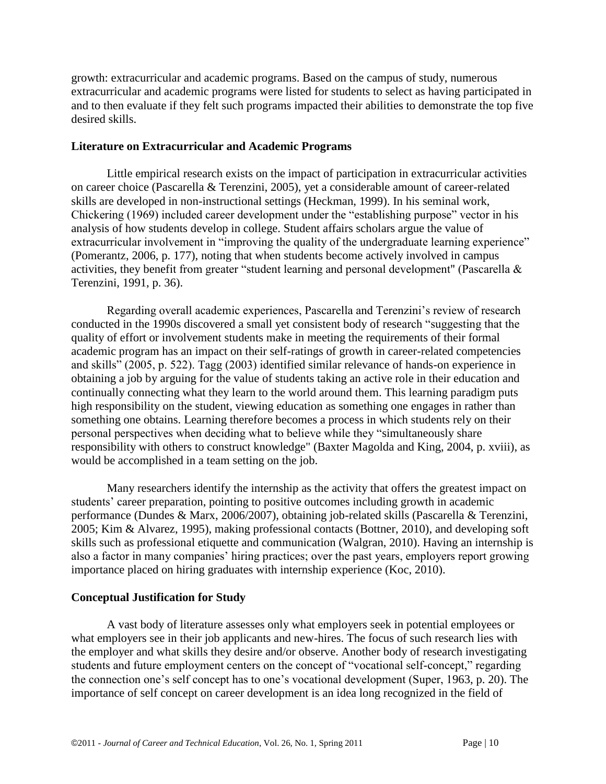growth: extracurricular and academic programs. Based on the campus of study, numerous extracurricular and academic programs were listed for students to select as having participated in and to then evaluate if they felt such programs impacted their abilities to demonstrate the top five desired skills.

### **Literature on Extracurricular and Academic Programs**

Little empirical research exists on the impact of participation in extracurricular activities on career choice (Pascarella & Terenzini, 2005), yet a considerable amount of career-related skills are developed in non-instructional settings (Heckman, 1999). In his seminal work, Chickering  $(1969)$  included career development under the "establishing purpose" vector in his analysis of how students develop in college. Student affairs scholars argue the value of extracurricular involvement in "improving the quality of the undergraduate learning experience" (Pomerantz, 2006, p. 177), noting that when students become actively involved in campus activities, they benefit from greater "student learning and personal development" (Pascarella  $\&$ Terenzini, 1991, p. 36).

Regarding overall academic experiences, Pascarella and Terenzini's review of research conducted in the 1990s discovered a small yet consistent body of research "suggesting that the quality of effort or involvement students make in meeting the requirements of their formal academic program has an impact on their self-ratings of growth in career-related competencies and skills" (2005, p. 522). Tagg (2003) identified similar relevance of hands-on experience in obtaining a job by arguing for the value of students taking an active role in their education and continually connecting what they learn to the world around them. This learning paradigm puts high responsibility on the student, viewing education as something one engages in rather than something one obtains. Learning therefore becomes a process in which students rely on their personal perspectives when deciding what to believe while they "simultaneously share responsibility with others to construct knowledge" (Baxter Magolda and King, 2004, p. xviii), as would be accomplished in a team setting on the job.

Many researchers identify the internship as the activity that offers the greatest impact on students' career preparation, pointing to positive outcomes including growth in academic performance (Dundes & Marx, 2006/2007), obtaining job-related skills (Pascarella & Terenzini, 2005; Kim & Alvarez, 1995), making professional contacts (Bottner, 2010), and developing soft skills such as professional etiquette and communication (Walgran, 2010). Having an internship is also a factor in many companies' hiring practices; over the past years, employers report growing importance placed on hiring graduates with internship experience (Koc, 2010).

# **Conceptual Justification for Study**

A vast body of literature assesses only what employers seek in potential employees or what employers see in their job applicants and new-hires. The focus of such research lies with the employer and what skills they desire and/or observe. Another body of research investigating students and future employment centers on the concept of "vocational self-concept," regarding the connection one's self concept has to one's vocational development (Super, 1963, p. 20). The importance of self concept on career development is an idea long recognized in the field of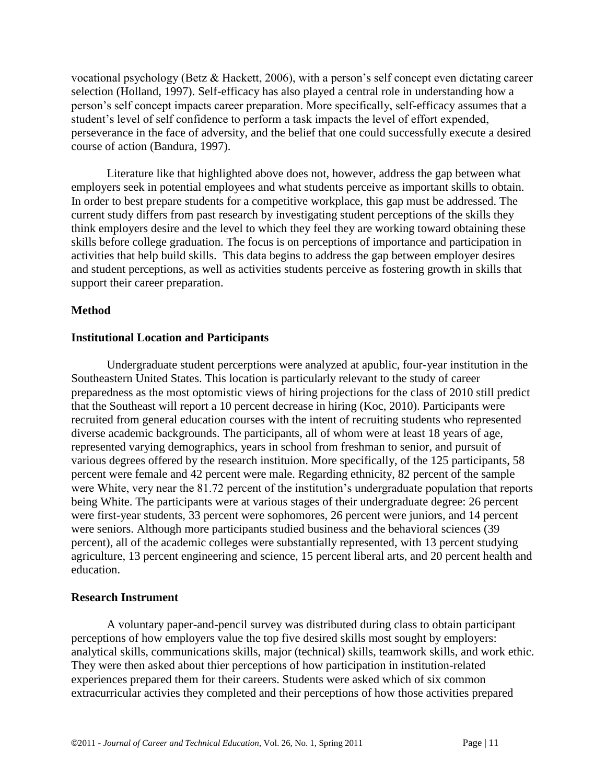vocational psychology (Betz & Hackett, 2006), with a person's self concept even dictating career selection (Holland, 1997). Self-efficacy has also played a central role in understanding how a person's self concept impacts career preparation. More specifically, self-efficacy assumes that a student's level of self confidence to perform a task impacts the level of effort expended, perseverance in the face of adversity, and the belief that one could successfully execute a desired course of action (Bandura, 1997).

Literature like that highlighted above does not, however, address the gap between what employers seek in potential employees and what students perceive as important skills to obtain. In order to best prepare students for a competitive workplace, this gap must be addressed. The current study differs from past research by investigating student perceptions of the skills they think employers desire and the level to which they feel they are working toward obtaining these skills before college graduation. The focus is on perceptions of importance and participation in activities that help build skills. This data begins to address the gap between employer desires and student perceptions, as well as activities students perceive as fostering growth in skills that support their career preparation.

# **Method**

### **Institutional Location and Participants**

Undergraduate student percerptions were analyzed at apublic, four-year institution in the Southeastern United States. This location is particularly relevant to the study of career preparedness as the most optomistic views of hiring projections for the class of 2010 still predict that the Southeast will report a 10 percent decrease in hiring (Koc, 2010). Participants were recruited from general education courses with the intent of recruiting students who represented diverse academic backgrounds. The participants, all of whom were at least 18 years of age, represented varying demographics, years in school from freshman to senior, and pursuit of various degrees offered by the research instituion. More specifically, of the 125 participants, 58 percent were female and 42 percent were male. Regarding ethnicity, 82 percent of the sample were White, very near the 81.72 percent of the institution's undergraduate population that reports being White. The participants were at various stages of their undergraduate degree: 26 percent were first-year students, 33 percent were sophomores, 26 percent were juniors, and 14 percent were seniors. Although more participants studied business and the behavioral sciences (39 percent), all of the academic colleges were substantially represented, with 13 percent studying agriculture, 13 percent engineering and science, 15 percent liberal arts, and 20 percent health and education.

### **Research Instrument**

A voluntary paper-and-pencil survey was distributed during class to obtain participant perceptions of how employers value the top five desired skills most sought by employers: analytical skills, communications skills, major (technical) skills, teamwork skills, and work ethic. They were then asked about thier perceptions of how participation in institution-related experiences prepared them for their careers. Students were asked which of six common extracurricular activies they completed and their perceptions of how those activities prepared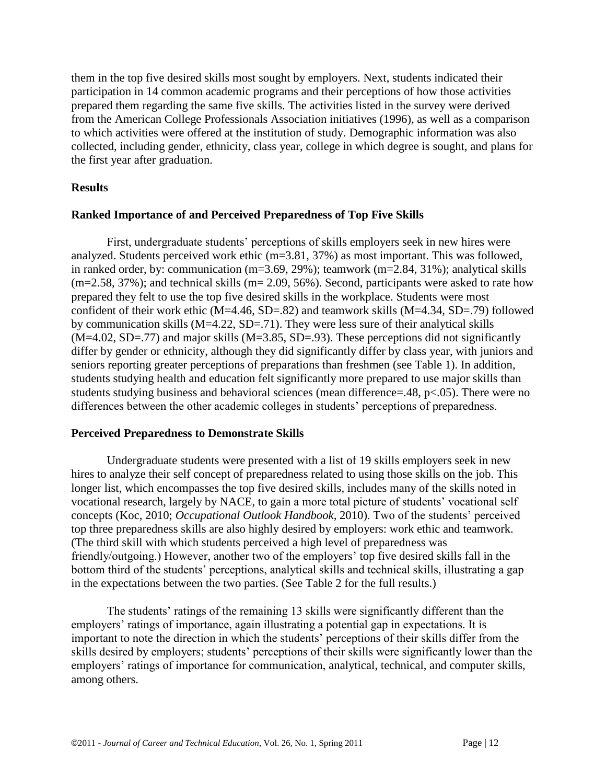them in the top five desired skills most sought by employers. Next, students indicated their participation in 14 common academic programs and their perceptions of how those activities prepared them regarding the same five skills. The activities listed in the survey were derived from the American College Professionals Association initiatives (1996), as well as a comparison to which activities were offered at the institution of study. Demographic information was also collected, including gender, ethnicity, class year, college in which degree is sought, and plans for the first year after graduation.

### **Results**

# **Ranked Importance of and Perceived Preparedness of Top Five Skills**

First, undergraduate students' perceptions of skills employers seek in new hires were analyzed. Students perceived work ethic (m=3.81, 37%) as most important. This was followed, in ranked order, by: communication (m=3.69, 29%); teamwork (m=2.84, 31%); analytical skills  $(m=2.58, 37%)$ ; and technical skills  $(m=2.09, 56%)$ . Second, participants were asked to rate how prepared they felt to use the top five desired skills in the workplace. Students were most confident of their work ethic (M=4.46, SD=.82) and teamwork skills (M=4.34, SD=.79) followed by communication skills (M=4.22, SD=.71). They were less sure of their analytical skills  $(M=4.02, SD=.77)$  and major skills  $(M=3.85, SD=.93)$ . These perceptions did not significantly differ by gender or ethnicity, although they did significantly differ by class year, with juniors and seniors reporting greater perceptions of preparations than freshmen (see Table 1). In addition, students studying health and education felt significantly more prepared to use major skills than students studying business and behavioral sciences (mean difference=.48, p<.05). There were no differences between the other academic colleges in students' perceptions of preparedness.

### **Perceived Preparedness to Demonstrate Skills**

Undergraduate students were presented with a list of 19 skills employers seek in new hires to analyze their self concept of preparedness related to using those skills on the job. This longer list, which encompasses the top five desired skills, includes many of the skills noted in vocational research, largely by NACE, to gain a more total picture of students' vocational self concepts (Koc, 2010; *Occupational Outlook Handbook*, 2010). Two of the students' perceived top three preparedness skills are also highly desired by employers: work ethic and teamwork. (The third skill with which students perceived a high level of preparedness was friendly/outgoing.) However, another two of the employers' top five desired skills fall in the bottom third of the students' perceptions, analytical skills and technical skills, illustrating a gap in the expectations between the two parties. (See Table 2 for the full results.)

The students' ratings of the remaining 13 skills were significantly different than the employers' ratings of importance, again illustrating a potential gap in expectations. It is important to note the direction in which the students' perceptions of their skills differ from the skills desired by employers; students' perceptions of their skills were significantly lower than the employers' ratings of importance for communication, analytical, technical, and computer skills, among others.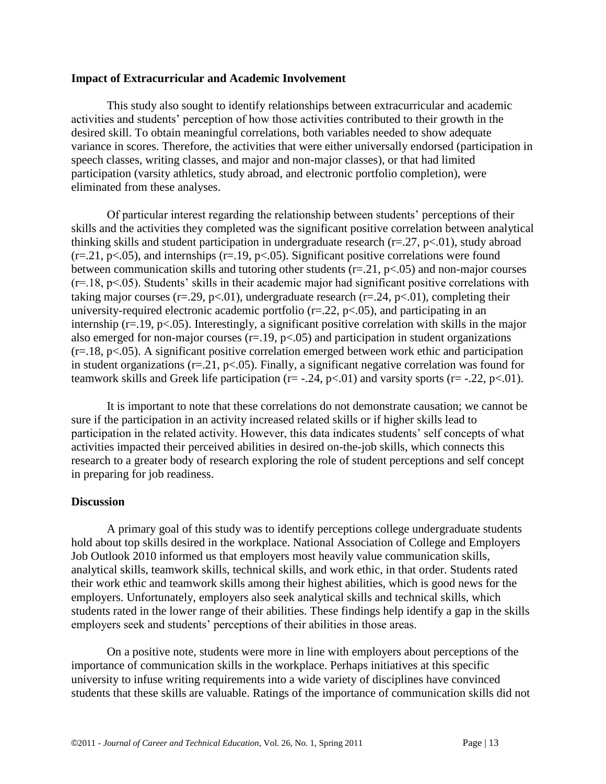#### **Impact of Extracurricular and Academic Involvement**

This study also sought to identify relationships between extracurricular and academic activities and students' perception of how those activities contributed to their growth in the desired skill. To obtain meaningful correlations, both variables needed to show adequate variance in scores. Therefore, the activities that were either universally endorsed (participation in speech classes, writing classes, and major and non-major classes), or that had limited participation (varsity athletics, study abroad, and electronic portfolio completion), were eliminated from these analyses.

Of particular interest regarding the relationship between students' perceptions of their skills and the activities they completed was the significant positive correlation between analytical thinking skills and student participation in undergraduate research  $(r=.27, p<.01)$ , study abroad  $(r=.21, p<.05)$ , and internships  $(r=.19, p<.05)$ . Significant positive correlations were found between communication skills and tutoring other students  $(r=.21, p<.05)$  and non-major courses  $(r=18, p<0.05)$ . Students' skills in their academic major had significant positive correlations with taking major courses ( $r = .29$ ,  $p < .01$ ), undergraduate research ( $r = .24$ ,  $p < .01$ ), completing their university-required electronic academic portfolio  $(r=.22, p<.05)$ , and participating in an internship ( $r = 19$ ,  $p < 05$ ). Interestingly, a significant positive correlation with skills in the major also emerged for non-major courses  $(r=.19, p<.05)$  and participation in student organizations  $(r=.18, p<.05)$ . A significant positive correlation emerged between work ethic and participation in student organizations ( $r = 21$ ,  $p < .05$ ). Finally, a significant negative correlation was found for teamwork skills and Greek life participation ( $r = -0.24$ ,  $p < 0.01$ ) and varsity sports ( $r = -0.22$ ,  $p < 0.01$ ).

It is important to note that these correlations do not demonstrate causation; we cannot be sure if the participation in an activity increased related skills or if higher skills lead to participation in the related activity. However, this data indicates students' self concepts of what activities impacted their perceived abilities in desired on-the-job skills, which connects this research to a greater body of research exploring the role of student perceptions and self concept in preparing for job readiness.

### **Discussion**

A primary goal of this study was to identify perceptions college undergraduate students hold about top skills desired in the workplace. National Association of College and Employers Job Outlook 2010 informed us that employers most heavily value communication skills, analytical skills, teamwork skills, technical skills, and work ethic, in that order. Students rated their work ethic and teamwork skills among their highest abilities, which is good news for the employers. Unfortunately, employers also seek analytical skills and technical skills, which students rated in the lower range of their abilities. These findings help identify a gap in the skills employers seek and students' perceptions of their abilities in those areas.

On a positive note, students were more in line with employers about perceptions of the importance of communication skills in the workplace. Perhaps initiatives at this specific university to infuse writing requirements into a wide variety of disciplines have convinced students that these skills are valuable. Ratings of the importance of communication skills did not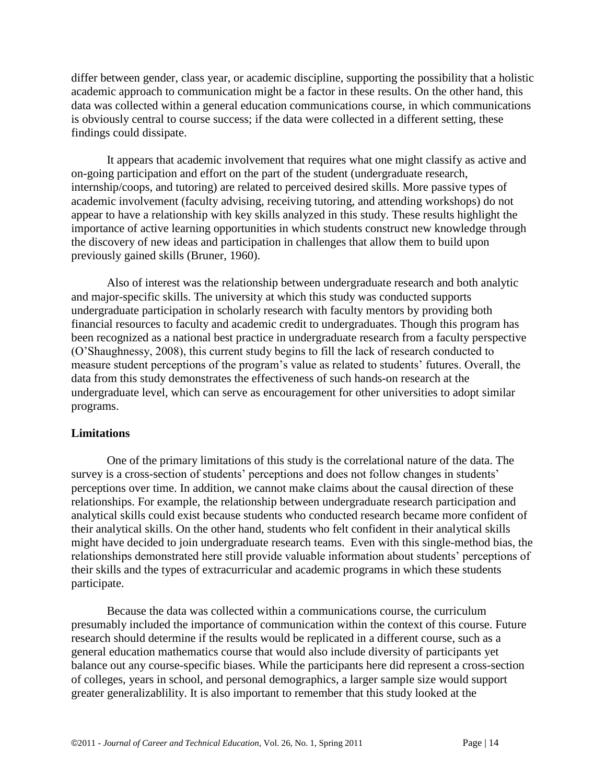differ between gender, class year, or academic discipline, supporting the possibility that a holistic academic approach to communication might be a factor in these results. On the other hand, this data was collected within a general education communications course, in which communications is obviously central to course success; if the data were collected in a different setting, these findings could dissipate.

It appears that academic involvement that requires what one might classify as active and on-going participation and effort on the part of the student (undergraduate research, internship/coops, and tutoring) are related to perceived desired skills. More passive types of academic involvement (faculty advising, receiving tutoring, and attending workshops) do not appear to have a relationship with key skills analyzed in this study. These results highlight the importance of active learning opportunities in which students construct new knowledge through the discovery of new ideas and participation in challenges that allow them to build upon previously gained skills (Bruner, 1960).

Also of interest was the relationship between undergraduate research and both analytic and major-specific skills. The university at which this study was conducted supports undergraduate participation in scholarly research with faculty mentors by providing both financial resources to faculty and academic credit to undergraduates. Though this program has been recognized as a national best practice in undergraduate research from a faculty perspective (O'Shaughnessy, 2008), this current study begins to fill the lack of research conducted to measure student perceptions of the program's value as related to students' futures. Overall, the data from this study demonstrates the effectiveness of such hands-on research at the undergraduate level, which can serve as encouragement for other universities to adopt similar programs.

# **Limitations**

One of the primary limitations of this study is the correlational nature of the data. The survey is a cross-section of students' perceptions and does not follow changes in students' perceptions over time. In addition, we cannot make claims about the causal direction of these relationships. For example, the relationship between undergraduate research participation and analytical skills could exist because students who conducted research became more confident of their analytical skills. On the other hand, students who felt confident in their analytical skills might have decided to join undergraduate research teams. Even with this single-method bias, the relationships demonstrated here still provide valuable information about students' perceptions of their skills and the types of extracurricular and academic programs in which these students participate.

Because the data was collected within a communications course, the curriculum presumably included the importance of communication within the context of this course. Future research should determine if the results would be replicated in a different course, such as a general education mathematics course that would also include diversity of participants yet balance out any course-specific biases. While the participants here did represent a cross-section of colleges, years in school, and personal demographics, a larger sample size would support greater generalizablility. It is also important to remember that this study looked at the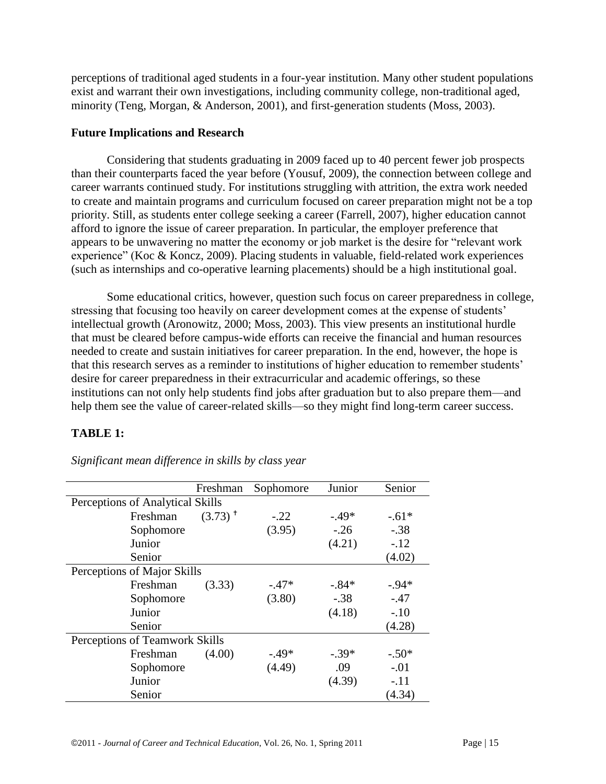perceptions of traditional aged students in a four-year institution. Many other student populations exist and warrant their own investigations, including community college, non-traditional aged, minority (Teng, Morgan, & Anderson, 2001), and first-generation students (Moss, 2003).

### **Future Implications and Research**

Considering that students graduating in 2009 faced up to 40 percent fewer job prospects than their counterparts faced the year before (Yousuf, 2009), the connection between college and career warrants continued study. For institutions struggling with attrition, the extra work needed to create and maintain programs and curriculum focused on career preparation might not be a top priority. Still, as students enter college seeking a career (Farrell, 2007), higher education cannot afford to ignore the issue of career preparation. In particular, the employer preference that appears to be unwavering no matter the economy or job market is the desire for "relevant work" experience" (Koc & Koncz, 2009). Placing students in valuable, field-related work experiences (such as internships and co-operative learning placements) should be a high institutional goal.

Some educational critics, however, question such focus on career preparedness in college, stressing that focusing too heavily on career development comes at the expense of students' intellectual growth (Aronowitz, 2000; Moss, 2003). This view presents an institutional hurdle that must be cleared before campus-wide efforts can receive the financial and human resources needed to create and sustain initiatives for career preparation. In the end, however, the hope is that this research serves as a reminder to institutions of higher education to remember students' desire for career preparedness in their extracurricular and academic offerings, so these institutions can not only help students find jobs after graduation but to also prepare them—and help them see the value of career-related skills—so they might find long-term career success.

# **TABLE 1:**

|                                |                                  | Freshman              | Sophomore | Junior  | Senior   |  |  |
|--------------------------------|----------------------------------|-----------------------|-----------|---------|----------|--|--|
|                                | Perceptions of Analytical Skills |                       |           |         |          |  |  |
|                                | Freshman                         | $(3.73)$ <sup>+</sup> | $-.22$    | $-.49*$ | $-.61*$  |  |  |
|                                | Sophomore                        |                       | (3.95)    | $-.26$  | $-.38$   |  |  |
|                                | Junior                           |                       |           | (4.21)  | $-.12$   |  |  |
|                                | Senior                           |                       |           |         | (4.02)   |  |  |
| Perceptions of Major Skills    |                                  |                       |           |         |          |  |  |
|                                | Freshman                         | (3.33)                | $-.47*$   | $-84*$  | $-0.94*$ |  |  |
|                                | Sophomore                        |                       | (3.80)    | $-.38$  | $-.47$   |  |  |
|                                | Junior                           |                       |           | (4.18)  | $-.10$   |  |  |
|                                | Senior                           |                       |           |         | (4.28)   |  |  |
| Perceptions of Teamwork Skills |                                  |                       |           |         |          |  |  |
|                                | Freshman                         | (4.00)                | $-49*$    | $-.39*$ | $-.50*$  |  |  |
|                                | Sophomore                        |                       | (4.49)    | .09     | $-.01$   |  |  |
|                                | Junior                           |                       |           | (4.39)  | $-.11$   |  |  |
|                                | Senior                           |                       |           |         | (4.34)   |  |  |

*Significant mean difference in skills by class year*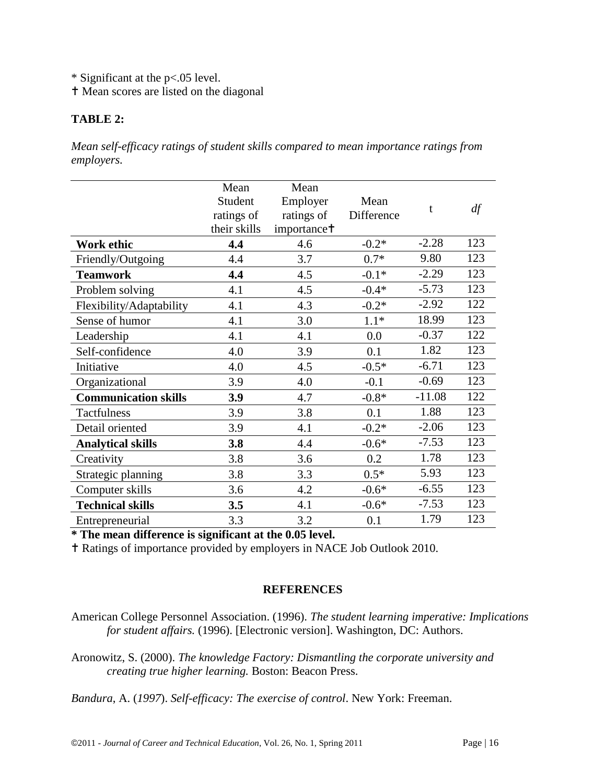\* Significant at the p<.05 level.

Mean scores are listed on the diagonal

### **TABLE 2:**

*Mean self-efficacy ratings of student skills compared to mean importance ratings from employers.*

|                             | Mean         | Mean                    |            |          |     |
|-----------------------------|--------------|-------------------------|------------|----------|-----|
|                             | Student      | Employer                | Mean       | t        | df  |
|                             | ratings of   | ratings of              | Difference |          |     |
|                             | their skills | importance <sup>†</sup> |            |          |     |
| Work ethic                  | 4.4          | 4.6                     | $-0.2*$    | $-2.28$  | 123 |
| Friendly/Outgoing           | 4.4          | 3.7                     | $0.7*$     | 9.80     | 123 |
| <b>Teamwork</b>             | 4.4          | 4.5                     | $-0.1*$    | $-2.29$  | 123 |
| Problem solving             | 4.1          | 4.5                     | $-0.4*$    | $-5.73$  | 123 |
| Flexibility/Adaptability    | 4.1          | 4.3                     | $-0.2*$    | $-2.92$  | 122 |
| Sense of humor              | 4.1          | 3.0                     | $1.1*$     | 18.99    | 123 |
| Leadership                  | 4.1          | 4.1                     | 0.0        | $-0.37$  | 122 |
| Self-confidence             | 4.0          | 3.9                     | 0.1        | 1.82     | 123 |
| Initiative                  | 4.0          | 4.5                     | $-0.5*$    | $-6.71$  | 123 |
| Organizational              | 3.9          | 4.0                     | $-0.1$     | $-0.69$  | 123 |
| <b>Communication skills</b> | 3.9          | 4.7                     | $-0.8*$    | $-11.08$ | 122 |
| Tactfulness                 | 3.9          | 3.8                     | 0.1        | 1.88     | 123 |
| Detail oriented             | 3.9          | 4.1                     | $-0.2*$    | $-2.06$  | 123 |
| <b>Analytical skills</b>    | 3.8          | 4.4                     | $-0.6*$    | $-7.53$  | 123 |
| Creativity                  | 3.8          | 3.6                     | 0.2        | 1.78     | 123 |
| Strategic planning          | 3.8          | 3.3                     | $0.5*$     | 5.93     | 123 |
| Computer skills             | 3.6          | 4.2                     | $-0.6*$    | $-6.55$  | 123 |
| <b>Technical skills</b>     | 3.5          | 4.1                     | $-0.6*$    | $-7.53$  | 123 |
| Entrepreneurial             | 3.3          | 3.2                     | 0.1        | 1.79     | 123 |

**\* The mean difference is significant at the 0.05 level.**

Ratings of importance provided by employers in NACE Job Outlook 2010.

### **REFERENCES**

American College Personnel Association. (1996). *The student learning imperative: Implications for student affairs.* (1996). [Electronic version]. Washington, DC: Authors.

Aronowitz, S. (2000). *The knowledge Factory: Dismantling the corporate university and creating true higher learning.* Boston: Beacon Press.

*Bandura*, A. (*1997*). *Self-efficacy: The exercise of control*. New York: Freeman.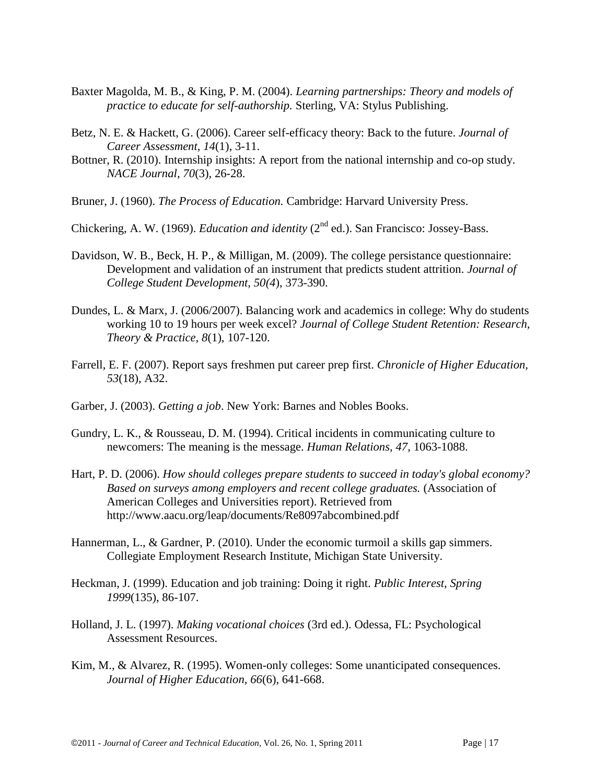- Baxter Magolda, M. B., & King, P. M. (2004). *Learning partnerships: Theory and models of practice to educate for self-authorship.* Sterling, VA: Stylus Publishing.
- Betz, N. E. & Hackett, G. (2006). Career self-efficacy theory: Back to the future. *Journal of Career Assessment, 14*(1), 3-11.
- Bottner, R. (2010). Internship insights: A report from the national internship and co-op study. *NACE Journal, 70*(3), 26-28.
- Bruner, J. (1960). *The Process of Education.* Cambridge: Harvard University Press.
- Chickering, A. W. (1969). *Education and identity* (2nd ed.). San Francisco: Jossey-Bass.
- Davidson, W. B., Beck, H. P., & Milligan, M. (2009). The college persistance questionnaire: Development and validation of an instrument that predicts student attrition. *Journal of College Student Development, 50(4*), 373-390.
- Dundes, L. & Marx, J. (2006/2007). Balancing work and academics in college: Why do students working 10 to 19 hours per week excel? *Journal of College Student Retention: Research, Theory & Practice, 8*(1), 107-120.
- Farrell, E. F. (2007). Report says freshmen put career prep first. *Chronicle of Higher Education, 53*(18), A32.
- Garber, J. (2003). *Getting a job*. New York: Barnes and Nobles Books.
- Gundry, L. K., & Rousseau, D. M. (1994). Critical incidents in communicating culture to newcomers: The meaning is the message. *Human Relations, 47*, 1063-1088.
- Hart, P. D. (2006). *How should colleges prepare students to succeed in today's global economy? Based on surveys among employers and recent college graduates.* (Association of American Colleges and Universities report). Retrieved from http://www.aacu.org/leap/documents/Re8097abcombined.pdf
- Hannerman, L., & Gardner, P. (2010). Under the economic turmoil a skills gap simmers. Collegiate Employment Research Institute, Michigan State University.
- Heckman, J. (1999). Education and job training: Doing it right. *Public Interest, Spring 1999*(135), 86-107.
- Holland, J. L. (1997). *Making vocational choices* (3rd ed.). Odessa, FL: Psychological Assessment Resources.
- Kim, M., & Alvarez, R. (1995). Women-only colleges: Some unanticipated consequences. *Journal of Higher Education, 66*(6), 641-668.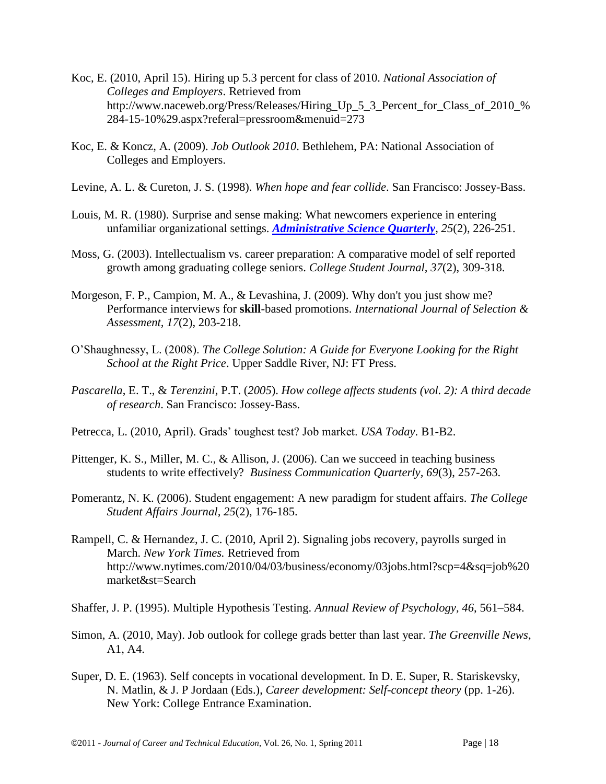- Koc, E. (2010, April 15). Hiring up 5.3 percent for class of 2010. *National Association of Colleges and Employers*. Retrieved from http://www.naceweb.org/Press/Releases/Hiring\_Up\_5\_3\_Percent\_for\_Class\_of\_2010\_% 284-15-10%29.aspx?referal=pressroom&menuid=273
- Koc, E. & Koncz, A. (2009). *Job Outlook 2010*. Bethlehem, PA: National Association of Colleges and Employers.
- Levine, A. L. & Cureton, J. S. (1998). *When hope and fear collide*. San Francisco: Jossey-Bass.
- Louis, M. R. (1980). Surprise and sense making: What newcomers experience in entering unfamiliar organizational settings. *[Administrative Science Quarterly](http://www.jstor.org/action/showPublication?journalCode=admisciequar)*, *25*(2), 226-251.
- Moss, G. (2003). Intellectualism vs. career preparation: A comparative model of self reported growth among graduating college seniors. *College Student Journal, 37*(2), 309-318.
- Morgeson, F. P., Campion, M. A., & Levashina, J. (2009). Why don't you just show me? Performance interviews for **skill**-based promotions. *International Journal of Selection & Assessment, 17*(2), 203-218.
- O'Shaughnessy, L. (2008). *The College Solution: A Guide for Everyone Looking for the Right School at the Right Price*. Upper Saddle River, NJ: FT Press.
- *Pascarella*, E. T., & *Terenzini*, P.T. (*2005*). *How college affects students (vol. 2): A third decade of research*. San Francisco: Jossey-Bass.
- Petrecca, L. (2010, April). Grads' toughest test? Job market. *USA Today*. B1-B2.
- Pittenger, K. S., Miller, M. C., & Allison, J. (2006). Can we succeed in teaching business students to write effectively? *Business Communication Quarterly, 69*(3), 257-263.
- Pomerantz, N. K. (2006). Student engagement: A new paradigm for student affairs. *The College Student Affairs Journal, 25*(2), 176-185.
- Rampell, C. & Hernandez, J. C. (2010, April 2). Signaling jobs recovery, payrolls surged in March. *New York Times.* Retrieved from http://www.nytimes.com/2010/04/03/business/economy/03jobs.html?scp=4&sq=job%20 market&st=Search
- Shaffer, J. P. (1995). Multiple Hypothesis Testing. *Annual Review of Psychology, 46*, 561–584.
- Simon, A. (2010, May). Job outlook for college grads better than last year. *The Greenville News*, A1, A4.
- Super, D. E. (1963). Self concepts in vocational development. In D. E. Super, R. Stariskevsky, N. Matlin, & J. P Jordaan (Eds.), *Career development: Self-concept theory* (pp. 1-26). New York: College Entrance Examination.